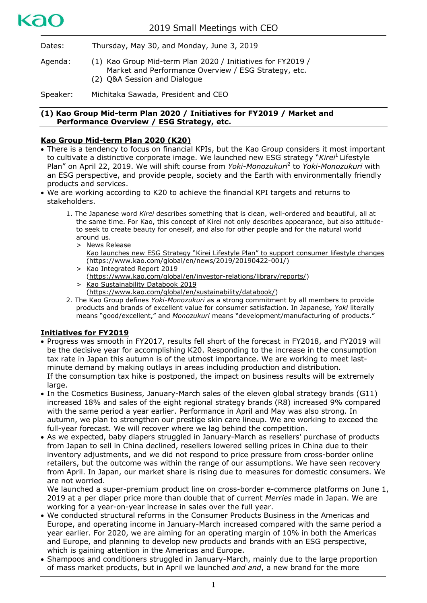Dates: Thursday, May 30, and Monday, June 3, 2019

Agenda: (1) Kao Group Mid-term Plan 2020 / Initiatives for FY2019 / Market and Performance Overview / ESG Strategy, etc. (2) Q&A Session and Dialogue

Speaker: Michitaka Sawada, President and CEO

## **(1) Kao Group Mid-term Plan 2020 / Initiatives for FY2019 / Market and Performance Overview / ESG Strategy, etc.**

# **Kao Group Mid-term Plan 2020 (K20)**

kac

- There is a tendency to focus on financial KPIs, but the Kao Group considers it most important to cultivate a distinctive corporate image. We launched new ESG strategy "*Kirei*<sup>1</sup> Lifestyle Plan" on April 22, 2019. We will shift course from *Yoki-Monozukuri*<sup>2</sup> to *Yoki-Monozukuri* with an ESG perspective, and provide people, society and the Earth with environmentally friendly products and services.
- We are working according to K20 to achieve the financial KPI targets and returns to stakeholders.
	- 1. The Japanese word *Kirei* describes something that is clean, well-ordered and beautiful, all at the same time. For Kao, this concept of Kirei not only describes appearance, but also attitudeto seek to create beauty for oneself, and also for other people and for the natural world around us.
		- > News Release [Kao launches new ESG Strategy "Kirei Lifestyle Plan" to support consumer lifestyle changes](https://www.kao.com/global/en/news/2019/20190422-001/) [\(https://www.kao.com/global/en/news/2019/20190422-001/\)](https://www.kao.com/global/en/news/2019/20190422-001/)
		- > [Kao Integrated Report 2019](https://www.kao.com/global/en/investor-relations/library/reports/)
		- [\(https://www.kao.com/global/en/investor-relations/library/reports/\)](https://www.kao.com/global/en/investor-relations/library/reports/)
		- > [Kao Sustainability Databook 2019](https://www.kao.com/global/en/sustainability/databook/)
		- [\(https://www.kao.com/global/en/sustainability/databook/\)](https://www.kao.com/global/en/sustainability/databook/)
	- 2. The Kao Group defines *Yoki-Monozukuri* as a strong commitment by all members to provide products and brands of excellent value for consumer satisfaction. In Japanese, *Yoki* literally means "good/excellent," and *Monozukuri* means "development/manufacturing of products."

## **Initiatives for FY2019**

- Progress was smooth in FY2017, results fell short of the forecast in FY2018, and FY2019 will be the decisive year for accomplishing K20. Responding to the increase in the consumption tax rate in Japan this autumn is of the utmost importance. We are working to meet lastminute demand by making outlays in areas including production and distribution. If the consumption tax hike is postponed, the impact on business results will be extremely large.
- In the Cosmetics Business, January-March sales of the eleven global strategy brands (G11) increased 18% and sales of the eight regional strategy brands (R8) increased 9% compared with the same period a year earlier. Performance in April and May was also strong. In autumn, we plan to strengthen our prestige skin care lineup. We are working to exceed the full-year forecast. We will recover where we lag behind the competition.
- As we expected, baby diapers struggled in January-March as resellers' purchase of products from Japan to sell in China declined, resellers lowered selling prices in China due to their inventory adjustments, and we did not respond to price pressure from cross-border online retailers, but the outcome was within the range of our assumptions. We have seen recovery from April. In Japan, our market share is rising due to measures for domestic consumers. We are not worried.

We launched a super-premium product line on cross-border e-commerce platforms on June 1, 2019 at a per diaper price more than double that of current *Merries* made in Japan. We are working for a year-on-year increase in sales over the full year.

- We conducted structural reforms in the Consumer Products Business in the Americas and Europe, and operating income in January-March increased compared with the same period a year earlier. For 2020, we are aiming for an operating margin of 10% in both the Americas and Europe, and planning to develop new products and brands with an ESG perspective, which is gaining attention in the Americas and Europe.
- Shampoos and conditioners struggled in January-March, mainly due to the large proportion of mass market products, but in April we launched *and and*, a new brand for the more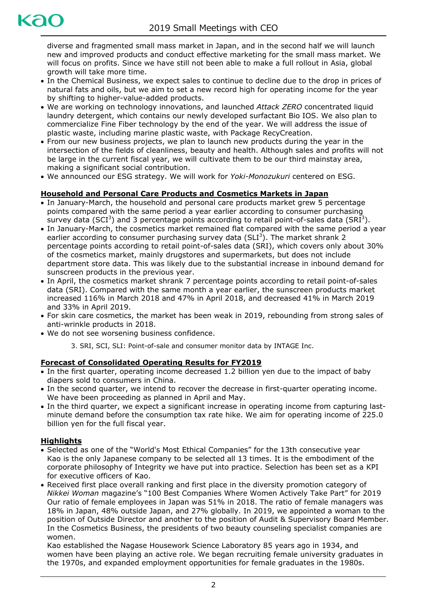diverse and fragmented small mass market in Japan, and in the second half we will launch new and improved products and conduct effective marketing for the small mass market. We will focus on profits. Since we have still not been able to make a full rollout in Asia, global growth will take more time.

- In the Chemical Business, we expect sales to continue to decline due to the drop in prices of natural fats and oils, but we aim to set a new record high for operating income for the year by shifting to higher-value-added products.
- We are working on technology innovations, and launched *Attack ZERO* concentrated liquid laundry detergent, which contains our newly developed surfactant Bio IOS. We also plan to commercialize Fine Fiber technology by the end of the year. We will address the issue of plastic waste, including marine plastic waste, with Package RecyCreation.
- From our new business projects, we plan to launch new products during the year in the intersection of the fields of cleanliness, beauty and health. Although sales and profits will not be large in the current fiscal year, we will cultivate them to be our third mainstay area, making a significant social contribution.
- We announced our ESG strategy. We will work for *Yoki-Monozukuri* centered on ESG.

# **Household and Personal Care Products and Cosmetics Markets in Japan**

- In January-March, the household and personal care products market grew 5 percentage points compared with the same period a year earlier according to consumer purchasing survey data (SCI<sup>3</sup>) and 3 percentage points according to retail point-of-sales data (SRI<sup>3</sup>).
- In January-March, the cosmetics market remained flat compared with the same period a year earlier according to consumer purchasing survey data (SLI<sup>3</sup>). The market shrank 2 percentage points according to retail point-of-sales data (SRI), which covers only about 30% of the cosmetics market, mainly drugstores and supermarkets, but does not include department store data. This was likely due to the substantial increase in inbound demand for sunscreen products in the previous year.
- In April, the cosmetics market shrank 7 percentage points according to retail point-of-sales data (SRI). Compared with the same month a year earlier, the sunscreen products market increased 116% in March 2018 and 47% in April 2018, and decreased 41% in March 2019 and 33% in April 2019.
- For skin care cosmetics, the market has been weak in 2019, rebounding from strong sales of anti-wrinkle products in 2018.
- We do not see worsening business confidence.

3. SRI, SCI, SLI: Point-of-sale and consumer monitor data by INTAGE Inc.

## **Forecast of Consolidated Operating Results for FY2019**

- In the first quarter, operating income decreased 1.2 billion yen due to the impact of baby diapers sold to consumers in China.
- In the second quarter, we intend to recover the decrease in first-quarter operating income. We have been proceeding as planned in April and May.
- In the third quarter, we expect a significant increase in operating income from capturing lastminute demand before the consumption tax rate hike. We aim for operating income of 225.0 billion yen for the full fiscal year.

## **Highlights**

- Selected as one of the "World's Most Ethical Companies" for the 13th consecutive year Kao is the only Japanese company to be selected all 13 times. It is the embodiment of the corporate philosophy of Integrity we have put into practice. Selection has been set as a KPI for executive officers of Kao.
- Received first place overall ranking and first place in the diversity promotion category of *Nikkei Woman* magazine's "100 Best Companies Where Women Actively Take Part" for 2019 Our ratio of female employees in Japan was 51% in 2018. The ratio of female managers was 18% in Japan, 48% outside Japan, and 27% globally. In 2019, we appointed a woman to the position of Outside Director and another to the position of Audit & Supervisory Board Member. In the Cosmetics Business, the presidents of two beauty counseling specialist companies are women.

Kao established the Nagase Housework Science Laboratory 85 years ago in 1934, and women have been playing an active role. We began recruiting female university graduates in the 1970s, and expanded employment opportunities for female graduates in the 1980s.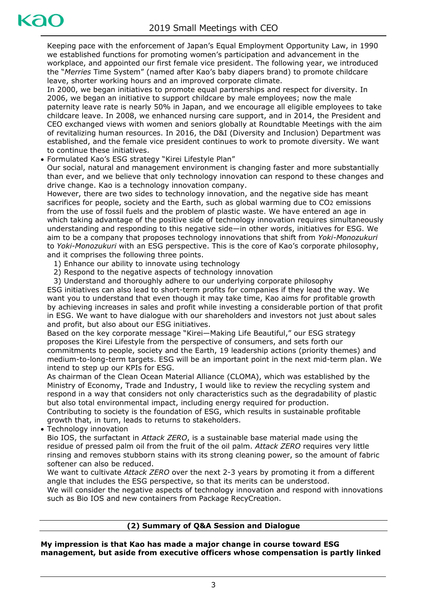Keeping pace with the enforcement of Japan's Equal Employment Opportunity Law, in 1990 we established functions for promoting women's participation and advancement in the workplace, and appointed our first female vice president. The following year, we introduced the "*Merries* Time System" (named after Kao's baby diapers brand) to promote childcare leave, shorter working hours and an improved corporate climate.

In 2000, we began initiatives to promote equal partnerships and respect for diversity. In 2006, we began an initiative to support childcare by male employees; now the male paternity leave rate is nearly 50% in Japan, and we encourage all eligible employees to take childcare leave. In 2008, we enhanced nursing care support, and in 2014, the President and CEO exchanged views with women and seniors globally at Roundtable Meetings with the aim of revitalizing human resources. In 2016, the D&I (Diversity and Inclusion) Department was established, and the female vice president continues to work to promote diversity. We want to continue these initiatives.

Formulated Kao's ESG strategy "Kirei Lifestyle Plan"

Our social, natural and management environment is changing faster and more substantially than ever, and we believe that only technology innovation can respond to these changes and drive change. Kao is a technology innovation company.

However, there are two sides to technology innovation, and the negative side has meant sacrifices for people, society and the Earth, such as global warming due to CO2 emissions from the use of fossil fuels and the problem of plastic waste. We have entered an age in which taking advantage of the positive side of technology innovation requires simultaneously understanding and responding to this negative side—in other words, initiatives for ESG. We aim to be a company that proposes technology innovations that shift from *Yoki-Monozukuri* to *Yoki-Monozukuri* with an ESG perspective. This is the core of Kao's corporate philosophy, and it comprises the following three points.

- 1) Enhance our ability to innovate using technology
- 2) Respond to the negative aspects of technology innovation
- 3) Understand and thoroughly adhere to our underlying corporate philosophy

ESG initiatives can also lead to short-term profits for companies if they lead the way. We want you to understand that even though it may take time, Kao aims for profitable growth by achieving increases in sales and profit while investing a considerable portion of that profit in ESG. We want to have dialogue with our shareholders and investors not just about sales and profit, but also about our ESG initiatives.

Based on the key corporate message "Kirei—Making Life Beautiful," our ESG strategy proposes the Kirei Lifestyle from the perspective of consumers, and sets forth our commitments to people, society and the Earth, 19 leadership actions (priority themes) and medium-to-long-term targets. ESG will be an important point in the next mid-term plan. We intend to step up our KPIs for ESG.

As chairman of the Clean Ocean Material Alliance (CLOMA), which was established by the Ministry of Economy, Trade and Industry, I would like to review the recycling system and respond in a way that considers not only characteristics such as the degradability of plastic but also total environmental impact, including energy required for production.

Contributing to society is the foundation of ESG, which results in sustainable profitable growth that, in turn, leads to returns to stakeholders.

Technology innovation

Bio IOS, the surfactant in *Attack ZERO*, is a sustainable base material made using the residue of pressed palm oil from the fruit of the oil palm. *Attack ZERO* requires very little rinsing and removes stubborn stains with its strong cleaning power, so the amount of fabric softener can also be reduced.

We want to cultivate *Attack ZERO* over the next 2-3 years by promoting it from a different angle that includes the ESG perspective, so that its merits can be understood.

We will consider the negative aspects of technology innovation and respond with innovations such as Bio IOS and new containers from Package RecyCreation.

## **(2) Summary of Q&A Session and Dialogue**

**My impression is that Kao has made a major change in course toward ESG management, but aside from executive officers whose compensation is partly linked**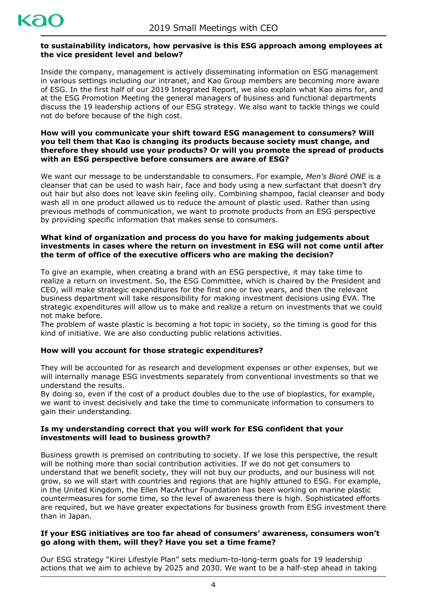## **to sustainability indicators, how pervasive is this ESG approach among employees at the vice president level and below?**

Inside the company, management is actively disseminating information on ESG management in various settings including our intranet, and Kao Group members are becoming more aware of ESG. In the first half of our 2019 Integrated Report, we also explain what Kao aims for, and at the ESG Promotion Meeting the general managers of business and functional departments discuss the 19 leadership actions of our ESG strategy. We also want to tackle things we could not do before because of the high cost.

#### **How will you communicate your shift toward ESG management to consumers? Will you tell them that Kao is changing its products because society must change, and therefore they should use your products? Or will you promote the spread of products with an ESG perspective before consumers are aware of ESG?**

We want our message to be understandable to consumers. For example, *Men's Bioré ONE* is a cleanser that can be used to wash hair, face and body using a new surfactant that doesn't dry out hair but also does not leave skin feeling oily. Combining shampoo, facial cleanser and body wash all in one product allowed us to reduce the amount of plastic used. Rather than using previous methods of communication, we want to promote products from an ESG perspective by providing specific information that makes sense to consumers.

#### **What kind of organization and process do you have for making judgements about investments in cases where the return on investment in ESG will not come until after the term of office of the executive officers who are making the decision?**

To give an example, when creating a brand with an ESG perspective, it may take time to realize a return on investment. So, the ESG Committee, which is chaired by the President and CEO, will make strategic expenditures for the first one or two years, and then the relevant business department will take responsibility for making investment decisions using EVA. The strategic expenditures will allow us to make and realize a return on investments that we could not make before.

The problem of waste plastic is becoming a hot topic in society, so the timing is good for this kind of initiative. We are also conducting public relations activities.

## **How will you account for those strategic expenditures?**

They will be accounted for as research and development expenses or other expenses, but we will internally manage ESG investments separately from conventional investments so that we understand the results.

By doing so, even if the cost of a product doubles due to the use of bioplastics, for example, we want to invest decisively and take the time to communicate information to consumers to gain their understanding.

#### **Is my understanding correct that you will work for ESG confident that your investments will lead to business growth?**

Business growth is premised on contributing to society. If we lose this perspective, the result will be nothing more than social contribution activities. If we do not get consumers to understand that we benefit society, they will not buy our products, and our business will not grow, so we will start with countries and regions that are highly attuned to ESG. For example, in the United Kingdom, the Ellen MacArthur Foundation has been working on marine plastic countermeasures for some time, so the level of awareness there is high. Sophisticated efforts are required, but we have greater expectations for business growth from ESG investment there than in Japan.

#### **If your ESG initiatives are too far ahead of consumers' awareness, consumers won't go along with them, will they? Have you set a time frame?**

Our ESG strategy "Kirei Lifestyle Plan" sets medium-to-long-term goals for 19 leadership actions that we aim to achieve by 2025 and 2030. We want to be a half-step ahead in taking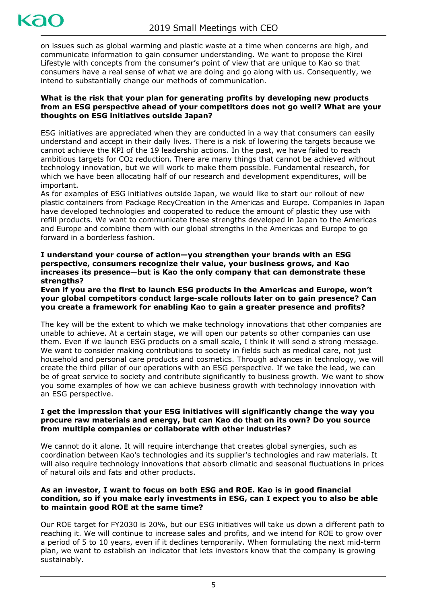

on issues such as global warming and plastic waste at a time when concerns are high, and communicate information to gain consumer understanding. We want to propose the Kirei Lifestyle with concepts from the consumer's point of view that are unique to Kao so that consumers have a real sense of what we are doing and go along with us. Consequently, we intend to substantially change our methods of communication.

#### **What is the risk that your plan for generating profits by developing new products from an ESG perspective ahead of your competitors does not go well? What are your thoughts on ESG initiatives outside Japan?**

ESG initiatives are appreciated when they are conducted in a way that consumers can easily understand and accept in their daily lives. There is a risk of lowering the targets because we cannot achieve the KPI of the 19 leadership actions. In the past, we have failed to reach ambitious targets for CO2 reduction. There are many things that cannot be achieved without technology innovation, but we will work to make them possible. Fundamental research, for which we have been allocating half of our research and development expenditures, will be important.

As for examples of ESG initiatives outside Japan, we would like to start our rollout of new plastic containers from Package RecyCreation in the Americas and Europe. Companies in Japan have developed technologies and cooperated to reduce the amount of plastic they use with refill products. We want to communicate these strengths developed in Japan to the Americas and Europe and combine them with our global strengths in the Americas and Europe to go forward in a borderless fashion.

**I understand your course of action—you strengthen your brands with an ESG perspective, consumers recognize their value, your business grows, and Kao increases its presence—but is Kao the only company that can demonstrate these strengths?**

**Even if you are the first to launch ESG products in the Americas and Europe, won't your global competitors conduct large-scale rollouts later on to gain presence? Can you create a framework for enabling Kao to gain a greater presence and profits?**

The key will be the extent to which we make technology innovations that other companies are unable to achieve. At a certain stage, we will open our patents so other companies can use them. Even if we launch ESG products on a small scale, I think it will send a strong message. We want to consider making contributions to society in fields such as medical care, not just household and personal care products and cosmetics. Through advances in technology, we will create the third pillar of our operations with an ESG perspective. If we take the lead, we can be of great service to society and contribute significantly to business growth. We want to show you some examples of how we can achieve business growth with technology innovation with an ESG perspective.

#### **I get the impression that your ESG initiatives will significantly change the way you procure raw materials and energy, but can Kao do that on its own? Do you source from multiple companies or collaborate with other industries?**

We cannot do it alone. It will require interchange that creates global synergies, such as coordination between Kao's technologies and its supplier's technologies and raw materials. It will also require technology innovations that absorb climatic and seasonal fluctuations in prices of natural oils and fats and other products.

## **As an investor, I want to focus on both ESG and ROE. Kao is in good financial condition, so if you make early investments in ESG, can I expect you to also be able to maintain good ROE at the same time?**

Our ROE target for FY2030 is 20%, but our ESG initiatives will take us down a different path to reaching it. We will continue to increase sales and profits, and we intend for ROE to grow over a period of 5 to 10 years, even if it declines temporarily. When formulating the next mid-term plan, we want to establish an indicator that lets investors know that the company is growing sustainably.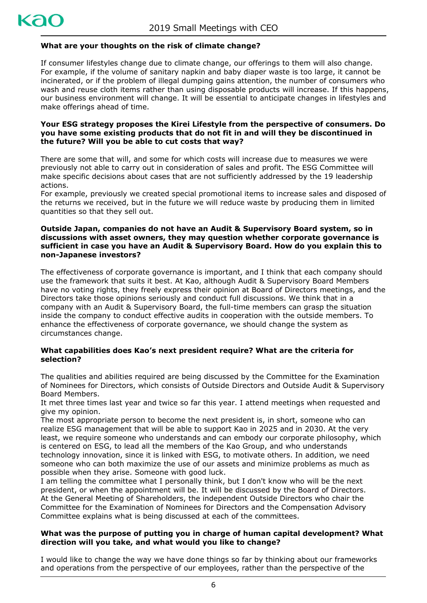

## **What are your thoughts on the risk of climate change?**

If consumer lifestyles change due to climate change, our offerings to them will also change. For example, if the volume of sanitary napkin and baby diaper waste is too large, it cannot be incinerated, or if the problem of illegal dumping gains attention, the number of consumers who wash and reuse cloth items rather than using disposable products will increase. If this happens, our business environment will change. It will be essential to anticipate changes in lifestyles and make offerings ahead of time.

#### **Your ESG strategy proposes the Kirei Lifestyle from the perspective of consumers. Do you have some existing products that do not fit in and will they be discontinued in the future? Will you be able to cut costs that way?**

There are some that will, and some for which costs will increase due to measures we were previously not able to carry out in consideration of sales and profit. The ESG Committee will make specific decisions about cases that are not sufficiently addressed by the 19 leadership actions.

For example, previously we created special promotional items to increase sales and disposed of the returns we received, but in the future we will reduce waste by producing them in limited quantities so that they sell out.

#### **Outside Japan, companies do not have an Audit & Supervisory Board system, so in discussions with asset owners, they may question whether corporate governance is sufficient in case you have an Audit & Supervisory Board. How do you explain this to non-Japanese investors?**

The effectiveness of corporate governance is important, and I think that each company should use the framework that suits it best. At Kao, although Audit & Supervisory Board Members have no voting rights, they freely express their opinion at Board of Directors meetings, and the Directors take those opinions seriously and conduct full discussions. We think that in a company with an Audit & Supervisory Board, the full-time members can grasp the situation inside the company to conduct effective audits in cooperation with the outside members. To enhance the effectiveness of corporate governance, we should change the system as circumstances change.

#### **What capabilities does Kao's next president require? What are the criteria for selection?**

The qualities and abilities required are being discussed by the Committee for the Examination of Nominees for Directors, which consists of Outside Directors and Outside Audit & Supervisory Board Members.

It met three times last year and twice so far this year. I attend meetings when requested and give my opinion.

The most appropriate person to become the next president is, in short, someone who can realize ESG management that will be able to support Kao in 2025 and in 2030. At the very least, we require someone who understands and can embody our corporate philosophy, which is centered on ESG, to lead all the members of the Kao Group, and who understands technology innovation, since it is linked with ESG, to motivate others. In addition, we need someone who can both maximize the use of our assets and minimize problems as much as possible when they arise. Someone with good luck.

I am telling the committee what I personally think, but I don't know who will be the next president, or when the appointment will be. It will be discussed by the Board of Directors. At the General Meeting of Shareholders, the independent Outside Directors who chair the Committee for the Examination of Nominees for Directors and the Compensation Advisory Committee explains what is being discussed at each of the committees.

#### **What was the purpose of putting you in charge of human capital development? What direction will you take, and what would you like to change?**

I would like to change the way we have done things so far by thinking about our frameworks and operations from the perspective of our employees, rather than the perspective of the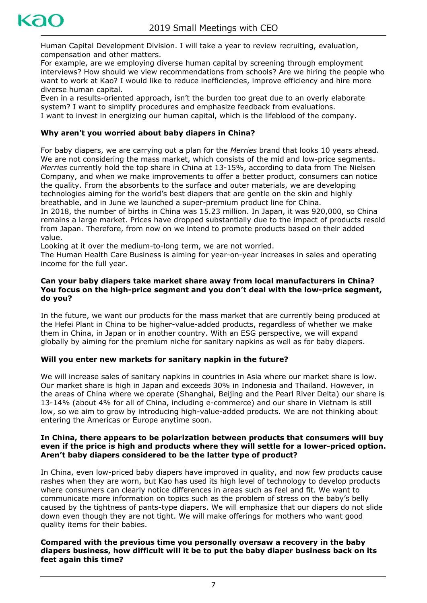

Human Capital Development Division. I will take a year to review recruiting, evaluation, compensation and other matters.

For example, are we employing diverse human capital by screening through employment interviews? How should we view recommendations from schools? Are we hiring the people who want to work at Kao? I would like to reduce inefficiencies, improve efficiency and hire more diverse human capital.

Even in a results-oriented approach, isn't the burden too great due to an overly elaborate system? I want to simplify procedures and emphasize feedback from evaluations. I want to invest in energizing our human capital, which is the lifeblood of the company.

# **Why aren't you worried about baby diapers in China?**

For baby diapers, we are carrying out a plan for the *Merries* brand that looks 10 years ahead. We are not considering the mass market, which consists of the mid and low-price segments. *Merries* currently hold the top share in China at 13-15%, according to data from The Nielsen Company, and when we make improvements to offer a better product, consumers can notice the quality. From the absorbents to the surface and outer materials, we are developing technologies aiming for the world's best diapers that are gentle on the skin and highly breathable, and in June we launched a super-premium product line for China.

In 2018, the number of births in China was 15.23 million. In Japan, it was 920,000, so China remains a large market. Prices have dropped substantially due to the impact of products resold from Japan. Therefore, from now on we intend to promote products based on their added value.

Looking at it over the medium-to-long term, we are not worried.

The Human Health Care Business is aiming for year-on-year increases in sales and operating income for the full year.

#### **Can your baby diapers take market share away from local manufacturers in China? You focus on the high-price segment and you don't deal with the low-price segment, do you?**

In the future, we want our products for the mass market that are currently being produced at the Hefei Plant in China to be higher-value-added products, regardless of whether we make them in China, in Japan or in another country. With an ESG perspective, we will expand globally by aiming for the premium niche for sanitary napkins as well as for baby diapers.

## **Will you enter new markets for sanitary napkin in the future?**

We will increase sales of sanitary napkins in countries in Asia where our market share is low. Our market share is high in Japan and exceeds 30% in Indonesia and Thailand. However, in the areas of China where we operate (Shanghai, Beijing and the Pearl River Delta) our share is 13-14% (about 4% for all of China, including e-commerce) and our share in Vietnam is still low, so we aim to grow by introducing high-value-added products. We are not thinking about entering the Americas or Europe anytime soon.

#### **In China, there appears to be polarization between products that consumers will buy even if the price is high and products where they will settle for a lower-priced option. Aren't baby diapers considered to be the latter type of product?**

In China, even low-priced baby diapers have improved in quality, and now few products cause rashes when they are worn, but Kao has used its high level of technology to develop products where consumers can clearly notice differences in areas such as feel and fit. We want to communicate more information on topics such as the problem of stress on the baby's belly caused by the tightness of pants-type diapers. We will emphasize that our diapers do not slide down even though they are not tight. We will make offerings for mothers who want good quality items for their babies.

#### **Compared with the previous time you personally oversaw a recovery in the baby diapers business, how difficult will it be to put the baby diaper business back on its feet again this time?**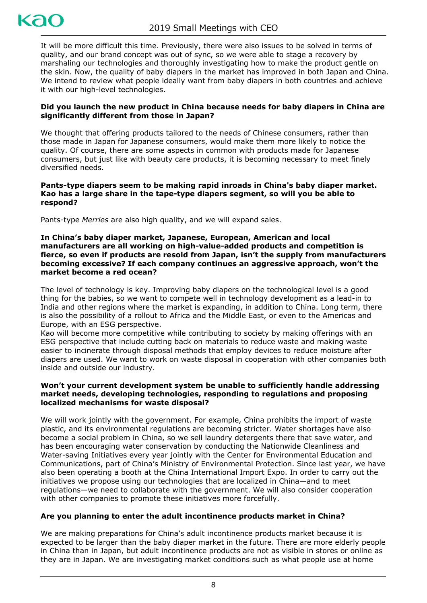

It will be more difficult this time. Previously, there were also issues to be solved in terms of quality, and our brand concept was out of sync, so we were able to stage a recovery by marshaling our technologies and thoroughly investigating how to make the product gentle on the skin. Now, the quality of baby diapers in the market has improved in both Japan and China. We intend to review what people ideally want from baby diapers in both countries and achieve it with our high-level technologies.

#### **Did you launch the new product in China because needs for baby diapers in China are significantly different from those in Japan?**

We thought that offering products tailored to the needs of Chinese consumers, rather than those made in Japan for Japanese consumers, would make them more likely to notice the quality. Of course, there are some aspects in common with products made for Japanese consumers, but just like with beauty care products, it is becoming necessary to meet finely diversified needs.

#### **Pants-type diapers seem to be making rapid inroads in China's baby diaper market. Kao has a large share in the tape-type diapers segment, so will you be able to respond?**

Pants-type *Merries* are also high quality, and we will expand sales.

#### **In China's baby diaper market, Japanese, European, American and local manufacturers are all working on high-value-added products and competition is fierce, so even if products are resold from Japan, isn't the supply from manufacturers becoming excessive? If each company continues an aggressive approach, won't the market become a red ocean?**

The level of technology is key. Improving baby diapers on the technological level is a good thing for the babies, so we want to compete well in technology development as a lead-in to India and other regions where the market is expanding, in addition to China. Long term, there is also the possibility of a rollout to Africa and the Middle East, or even to the Americas and Europe, with an ESG perspective.

Kao will become more competitive while contributing to society by making offerings with an ESG perspective that include cutting back on materials to reduce waste and making waste easier to incinerate through disposal methods that employ devices to reduce moisture after diapers are used. We want to work on waste disposal in cooperation with other companies both inside and outside our industry.

#### **Won't your current development system be unable to sufficiently handle addressing market needs, developing technologies, responding to regulations and proposing localized mechanisms for waste disposal?**

We will work jointly with the government. For example, China prohibits the import of waste plastic, and its environmental regulations are becoming stricter. Water shortages have also become a social problem in China, so we sell laundry detergents there that save water, and has been encouraging water conservation by conducting the Nationwide Cleanliness and Water-saving Initiatives every year jointly with the Center for Environmental Education and Communications, part of China's Ministry of Environmental Protection. Since last year, we have also been operating a booth at the China International Import Expo. In order to carry out the initiatives we propose using our technologies that are localized in China—and to meet regulations—we need to collaborate with the government. We will also consider cooperation with other companies to promote these initiatives more forcefully.

## **Are you planning to enter the adult incontinence products market in China?**

We are making preparations for China's adult incontinence products market because it is expected to be larger than the baby diaper market in the future. There are more elderly people in China than in Japan, but adult incontinence products are not as visible in stores or online as they are in Japan. We are investigating market conditions such as what people use at home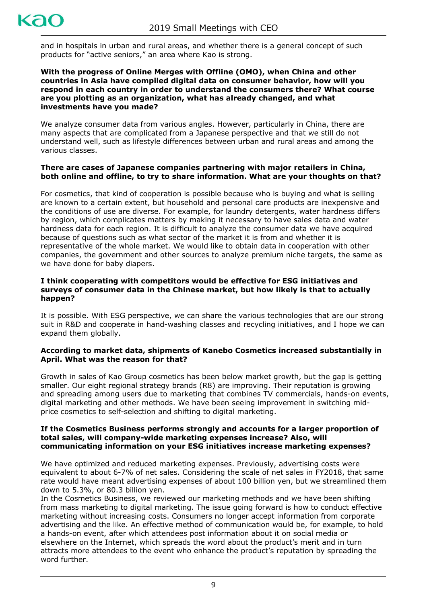

and in hospitals in urban and rural areas, and whether there is a general concept of such products for "active seniors," an area where Kao is strong.

#### **With the progress of Online Merges with Offline (OMO), when China and other countries in Asia have compiled digital data on consumer behavior, how will you respond in each country in order to understand the consumers there? What course are you plotting as an organization, what has already changed, and what investments have you made?**

We analyze consumer data from various angles. However, particularly in China, there are many aspects that are complicated from a Japanese perspective and that we still do not understand well, such as lifestyle differences between urban and rural areas and among the various classes.

## **There are cases of Japanese companies partnering with major retailers in China, both online and offline, to try to share information. What are your thoughts on that?**

For cosmetics, that kind of cooperation is possible because who is buying and what is selling are known to a certain extent, but household and personal care products are inexpensive and the conditions of use are diverse. For example, for laundry detergents, water hardness differs by region, which complicates matters by making it necessary to have sales data and water hardness data for each region. It is difficult to analyze the consumer data we have acquired because of questions such as what sector of the market it is from and whether it is representative of the whole market. We would like to obtain data in cooperation with other companies, the government and other sources to analyze premium niche targets, the same as we have done for baby diapers.

#### **I think cooperating with competitors would be effective for ESG initiatives and surveys of consumer data in the Chinese market, but how likely is that to actually happen?**

It is possible. With ESG perspective, we can share the various technologies that are our strong suit in R&D and cooperate in hand-washing classes and recycling initiatives, and I hope we can expand them globally.

#### **According to market data, shipments of Kanebo Cosmetics increased substantially in April. What was the reason for that?**

Growth in sales of Kao Group cosmetics has been below market growth, but the gap is getting smaller. Our eight regional strategy brands (R8) are improving. Their reputation is growing and spreading among users due to marketing that combines TV commercials, hands-on events, digital marketing and other methods. We have been seeing improvement in switching midprice cosmetics to self-selection and shifting to digital marketing.

#### **If the Cosmetics Business performs strongly and accounts for a larger proportion of total sales, will company-wide marketing expenses increase? Also, will communicating information on your ESG initiatives increase marketing expenses?**

We have optimized and reduced marketing expenses. Previously, advertising costs were equivalent to about 6-7% of net sales. Considering the scale of net sales in FY2018, that same rate would have meant advertising expenses of about 100 billion yen, but we streamlined them down to 5.3%, or 80.3 billion yen.

In the Cosmetics Business, we reviewed our marketing methods and we have been shifting from mass marketing to digital marketing. The issue going forward is how to conduct effective marketing without increasing costs. Consumers no longer accept information from corporate advertising and the like. An effective method of communication would be, for example, to hold a hands-on event, after which attendees post information about it on social media or elsewhere on the Internet, which spreads the word about the product's merit and in turn attracts more attendees to the event who enhance the product's reputation by spreading the word further.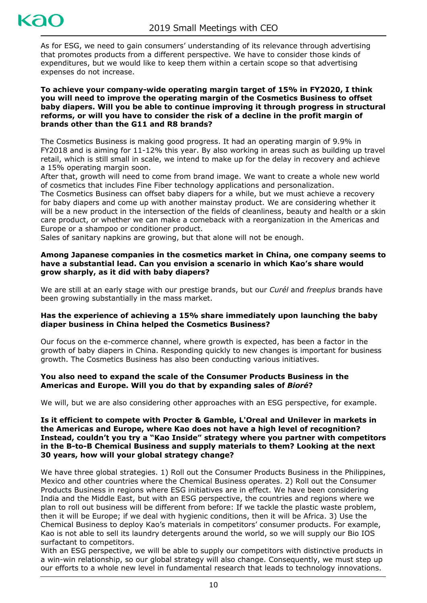# kac

As for ESG, we need to gain consumers' understanding of its relevance through advertising that promotes products from a different perspective. We have to consider those kinds of expenditures, but we would like to keep them within a certain scope so that advertising expenses do not increase.

#### **To achieve your company-wide operating margin target of 15% in FY2020, I think you will need to improve the operating margin of the Cosmetics Business to offset baby diapers. Will you be able to continue improving it through progress in structural reforms, or will you have to consider the risk of a decline in the profit margin of brands other than the G11 and R8 brands?**

The Cosmetics Business is making good progress. It had an operating margin of 9.9% in FY2018 and is aiming for 11-12% this year. By also working in areas such as building up travel retail, which is still small in scale, we intend to make up for the delay in recovery and achieve a 15% operating margin soon.

After that, growth will need to come from brand image. We want to create a whole new world of cosmetics that includes Fine Fiber technology applications and personalization.

The Cosmetics Business can offset baby diapers for a while, but we must achieve a recovery for baby diapers and come up with another mainstay product. We are considering whether it will be a new product in the intersection of the fields of cleanliness, beauty and health or a skin care product, or whether we can make a comeback with a reorganization in the Americas and Europe or a shampoo or conditioner product.

Sales of sanitary napkins are growing, but that alone will not be enough.

## **Among Japanese companies in the cosmetics market in China, one company seems to have a substantial lead. Can you envision a scenario in which Kao's share would grow sharply, as it did with baby diapers?**

We are still at an early stage with our prestige brands, but our *Curél* and *freeplus* brands have been growing substantially in the mass market.

## **Has the experience of achieving a 15% share immediately upon launching the baby diaper business in China helped the Cosmetics Business?**

Our focus on the e-commerce channel, where growth is expected, has been a factor in the growth of baby diapers in China. Responding quickly to new changes is important for business growth. The Cosmetics Business has also been conducting various initiatives.

## **You also need to expand the scale of the Consumer Products Business in the Americas and Europe. Will you do that by expanding sales of** *Bioré***?**

We will, but we are also considering other approaches with an ESG perspective, for example.

#### **Is it efficient to compete with Procter & Gamble, L'Oreal and Unilever in markets in the Americas and Europe, where Kao does not have a high level of recognition? Instead, couldn't you try a "Kao Inside" strategy where you partner with competitors in the B-to-B Chemical Business and supply materials to them? Looking at the next 30 years, how will your global strategy change?**

We have three global strategies. 1) Roll out the Consumer Products Business in the Philippines, Mexico and other countries where the Chemical Business operates. 2) Roll out the Consumer Products Business in regions where ESG initiatives are in effect. We have been considering India and the Middle East, but with an ESG perspective, the countries and regions where we plan to roll out business will be different from before: If we tackle the plastic waste problem, then it will be Europe; if we deal with hygienic conditions, then it will be Africa. 3) Use the Chemical Business to deploy Kao's materials in competitors' consumer products. For example, Kao is not able to sell its laundry detergents around the world, so we will supply our Bio IOS surfactant to competitors.

With an ESG perspective, we will be able to supply our competitors with distinctive products in a win-win relationship, so our global strategy will also change. Consequently, we must step up our efforts to a whole new level in fundamental research that leads to technology innovations.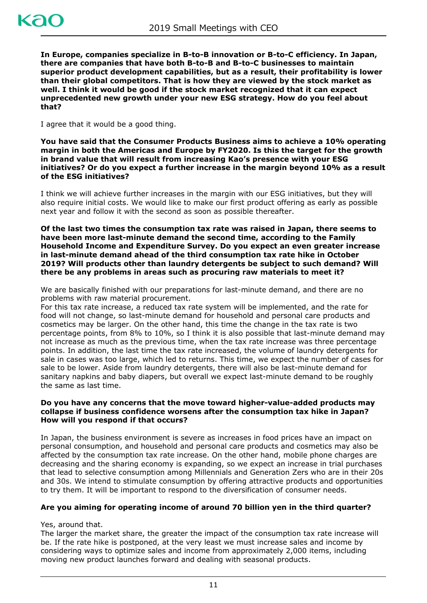**In Europe, companies specialize in B-to-B innovation or B-to-C efficiency. In Japan, there are companies that have both B-to-B and B-to-C businesses to maintain superior product development capabilities, but as a result, their profitability is lower than their global competitors. That is how they are viewed by the stock market as well. I think it would be good if the stock market recognized that it can expect unprecedented new growth under your new ESG strategy. How do you feel about that?**

I agree that it would be a good thing.

**You have said that the Consumer Products Business aims to achieve a 10% operating margin in both the Americas and Europe by FY2020. Is this the target for the growth in brand value that will result from increasing Kao's presence with your ESG initiatives? Or do you expect a further increase in the margin beyond 10% as a result of the ESG initiatives?**

I think we will achieve further increases in the margin with our ESG initiatives, but they will also require initial costs. We would like to make our first product offering as early as possible next year and follow it with the second as soon as possible thereafter.

**Of the last two times the consumption tax rate was raised in Japan, there seems to have been more last-minute demand the second time, according to the Family Household Income and Expenditure Survey. Do you expect an even greater increase in last-minute demand ahead of the third consumption tax rate hike in October 2019? Will products other than laundry detergents be subject to such demand? Will there be any problems in areas such as procuring raw materials to meet it?**

We are basically finished with our preparations for last-minute demand, and there are no problems with raw material procurement.

For this tax rate increase, a reduced tax rate system will be implemented, and the rate for food will not change, so last-minute demand for household and personal care products and cosmetics may be larger. On the other hand, this time the change in the tax rate is two percentage points, from 8% to 10%, so I think it is also possible that last-minute demand may not increase as much as the previous time, when the tax rate increase was three percentage points. In addition, the last time the tax rate increased, the volume of laundry detergents for sale in cases was too large, which led to returns. This time, we expect the number of cases for sale to be lower. Aside from laundry detergents, there will also be last-minute demand for sanitary napkins and baby diapers, but overall we expect last-minute demand to be roughly the same as last time.

#### **Do you have any concerns that the move toward higher-value-added products may collapse if business confidence worsens after the consumption tax hike in Japan? How will you respond if that occurs?**

In Japan, the business environment is severe as increases in food prices have an impact on personal consumption, and household and personal care products and cosmetics may also be affected by the consumption tax rate increase. On the other hand, mobile phone charges are decreasing and the sharing economy is expanding, so we expect an increase in trial purchases that lead to selective consumption among Millennials and Generation Zers who are in their 20s and 30s. We intend to stimulate consumption by offering attractive products and opportunities to try them. It will be important to respond to the diversification of consumer needs.

## **Are you aiming for operating income of around 70 billion yen in the third quarter?**

Yes, around that.

The larger the market share, the greater the impact of the consumption tax rate increase will be. If the rate hike is postponed, at the very least we must increase sales and income by considering ways to optimize sales and income from approximately 2,000 items, including moving new product launches forward and dealing with seasonal products.